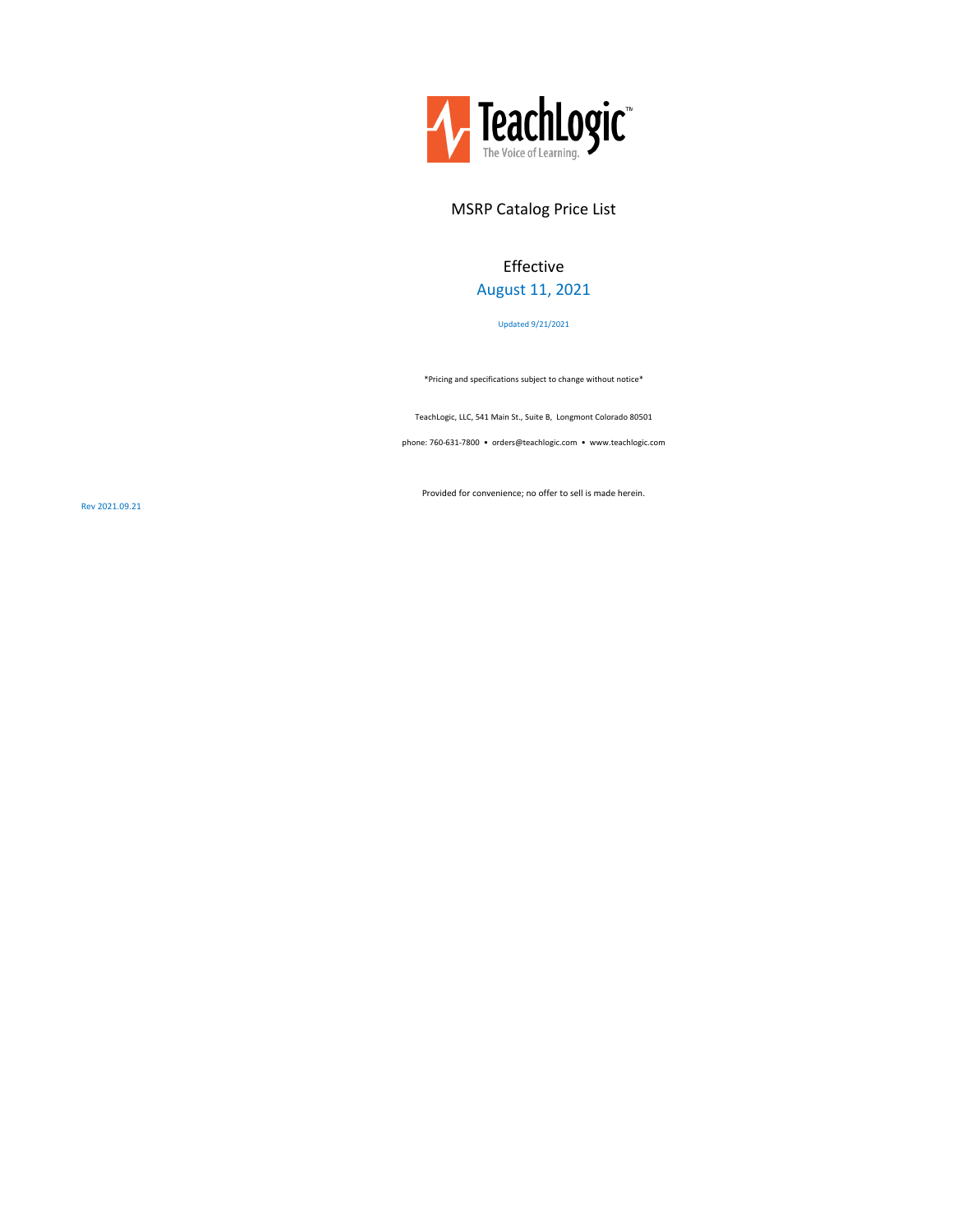

# MSRP Catalog Price List

# Effective August 11, 2021

Updated 9/21/2021

\*Pricing and specifications subject to change without notice\*

TeachLogic, LLC, 541 Main St., Suite B, Longmont Colorado 80501

phone: 760-631-7800 • orders@teachlogic.com • www.teachlogic.com

Provided for convenience; no offer to sell is made herein.

Rev 2021.09.21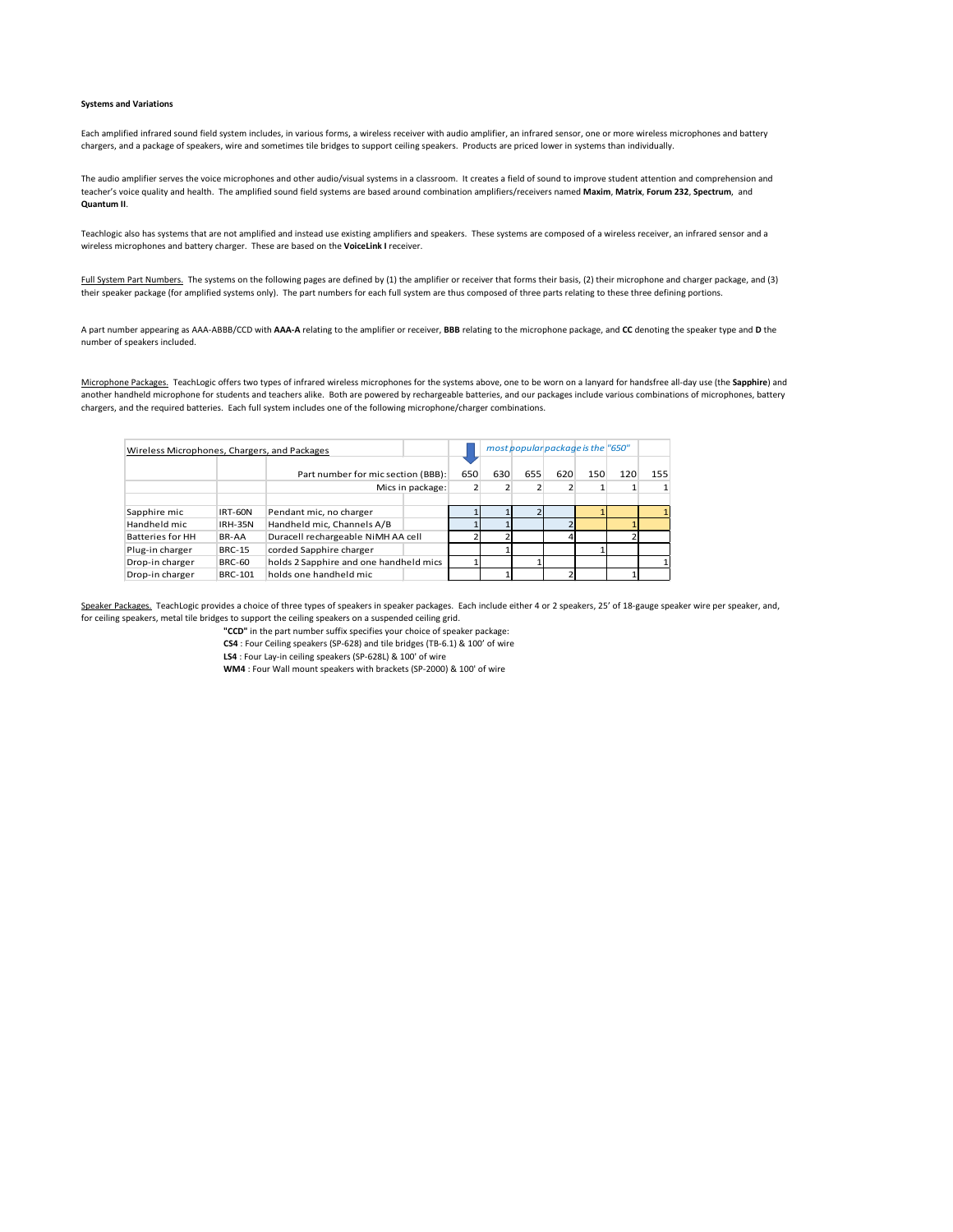## **Systems and Variations**

Each amplified infrared sound field system includes, in various forms, a wireless receiver with audio amplifier, an infrared sensor, one or more wireless microphones and battery chargers, and a package of speakers, wire and sometimes tile bridges to support ceiling speakers. Products are priced lower in systems than individually.

The audio amplifier serves the voice microphones and other audio/visual systems in a classroom. It creates a field of sound to improve student attention and comprehension and teacher's voice quality and health. The amplified sound field systems are based around combination amplifiers/receivers named **Maxim**, **Matrix**, **Forum 232**, **Spectrum**, and **Quantum II**.

Teachlogic also has systems that are not amplified and instead use existing amplifiers and speakers. These systems are composed of a wireless receiver, an infrared sensor and a wireless microphones and battery charger. These are based on the **VoiceLink I** receiver.

Full System Part Numbers. The systems on the following pages are defined by (1) the amplifier or receiver that forms their basis, (2) their microphone and charger package, and (3) their speaker package (for amplified systems only). The part numbers for each full system are thus composed of three parts relating to these three defining portions.

A part number appearing as AAA-ABBB/CCD with **AAA-A** relating to the amplifier or receiver, **BBB** relating to the microphone package, and **CC** denoting the speaker type and **D** the number of speakers included.

Microphone Packages. TeachLogic offers two types of infrared wireless microphones for the systems above, one to be worn on a lanyard for handsfree all-day use (the **Sapphire**) and another handheld microphone for students and teachers alike. Both are powered by rechargeable batteries, and our packages include various combinations of microphones, battery chargers, and the required batteries. Each full system includes one of the following microphone/charger combinations.

| Wireless Microphones, Chargers, and Packages |                |                                        |                  |                |     |     | most popular package is the "650" |     |     |     |
|----------------------------------------------|----------------|----------------------------------------|------------------|----------------|-----|-----|-----------------------------------|-----|-----|-----|
|                                              |                | Part number for mic section (BBB):     |                  | 650            | 630 | 655 | 620                               | 150 | 120 | 155 |
|                                              |                |                                        | Mics in package: | $\overline{2}$ |     |     |                                   |     |     | 1   |
|                                              |                |                                        |                  |                |     |     |                                   |     |     |     |
| Sapphire mic                                 | <b>IRT-60N</b> | Pendant mic, no charger                |                  |                |     |     |                                   |     |     |     |
| Handheld mic                                 | <b>IRH-35N</b> | Handheld mic, Channels A/B             |                  |                |     |     |                                   |     |     |     |
| Batteries for HH                             | BR-AA          | Duracell rechargeable NiMH AA cell     |                  |                |     |     |                                   |     |     |     |
| Plug-in charger                              | <b>BRC-15</b>  | corded Sapphire charger                |                  |                |     |     |                                   |     |     |     |
| Drop-in charger                              | <b>BRC-60</b>  | holds 2 Sapphire and one handheld mics |                  |                |     |     |                                   |     |     |     |
| Drop-in charger                              | <b>BRC-101</b> | holds one handheld mic                 |                  |                |     |     |                                   |     |     |     |

Speaker Packages. TeachLogic provides a choice of three types of speakers in speaker packages. Each include either 4 or 2 speakers, 25' of 18-gauge speaker wire per speaker, and, for ceiling speakers, metal tile bridges to support the ceiling speakers on a suspended ceiling grid.

**"CCD"** in the part number suffix specifies your choice of speaker package:

**CS4** : Four Ceiling speakers (SP-628) and tile bridges (TB-6.1) & 100' of wire

**LS4** : Four Lay-in ceiling speakers (SP-628L) & 100' of wire

**WM4** : Four Wall mount speakers with brackets (SP-2000) & 100' of wire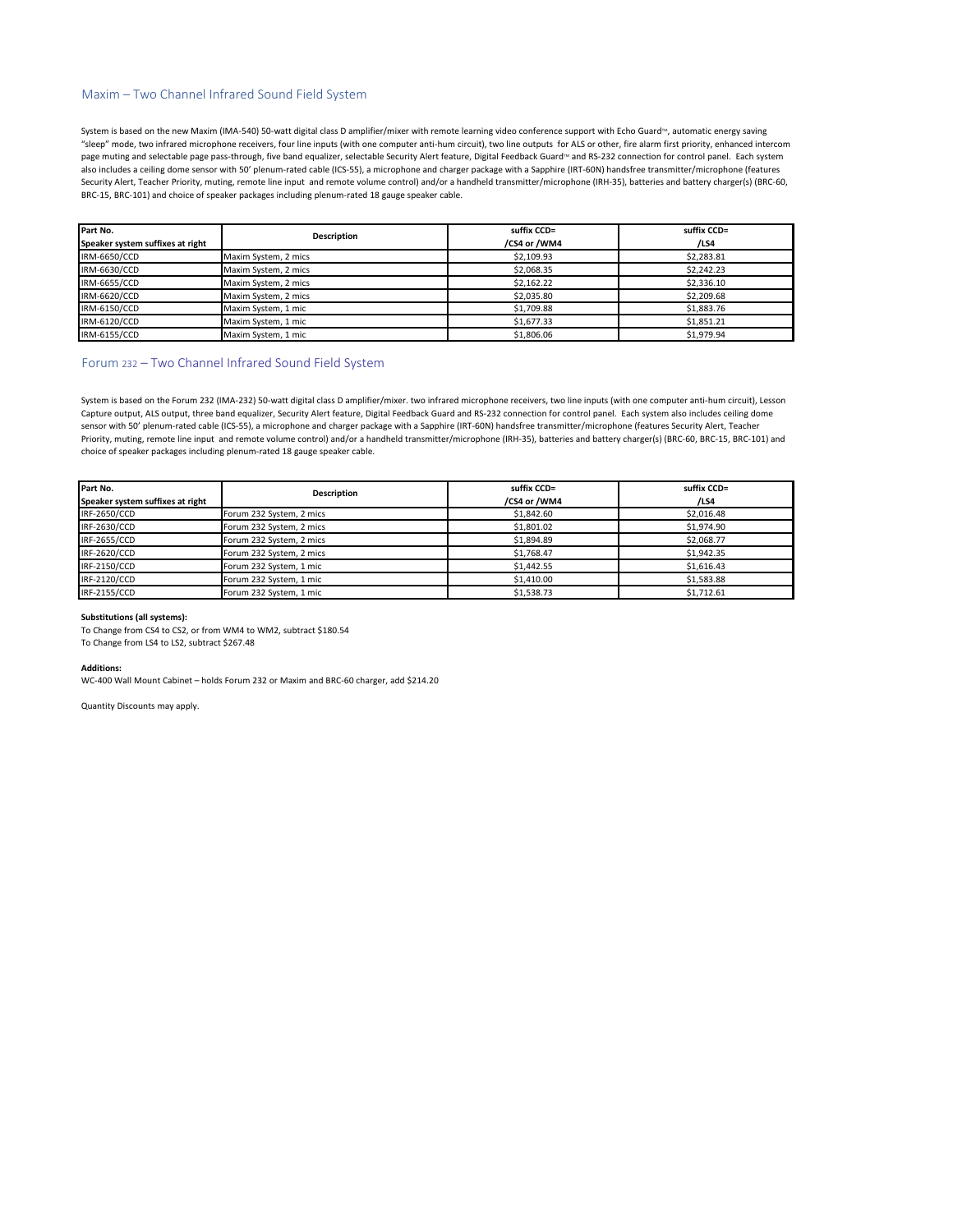# Maxim – Two Channel Infrared Sound Field System

System is based on the new Maxim (IMA-540) 50-watt digital class D amplifier/mixer with remote learning video conference support with Echo Guard<sup>n</sup>, automatic energy saving "sleep" mode, two infrared microphone receivers, four line inputs (with one computer anti-hum circuit), two line outputs for ALS or other, fire alarm first priority, enhanced intercom page muting and selectable page pass-through, five band equalizer, selectable Security Alert feature, Digital Feedback Guard<sup>na</sup> and RS-232 connection for control panel. Each system also includes a ceiling dome sensor with 50' plenum-rated cable (ICS-55), a microphone and charger package with a Sapphire (IRT-60N) handsfree transmitter/microphone (features Security Alert, Teacher Priority, muting, remote line input and remote volume control) and/or a handheld transmitter/microphone (IRH-35), batteries and battery charger(s) (BRC-60, BRC-15, BRC-101) and choice of speaker packages including plenum-rated 18 gauge speaker cable.

| Part No.                         | <b>Description</b>   | suffix CCD=  | suffix CCD= |
|----------------------------------|----------------------|--------------|-------------|
| Speaker system suffixes at right |                      | /CS4 or /WM4 | /LS4        |
| IRM-6650/CCD                     | Maxim System, 2 mics | \$2,109.93   | \$2.283.81  |
| IRM-6630/CCD                     | Maxim System, 2 mics | \$2,068.35   | \$2,242.23  |
| IRM-6655/CCD                     | Maxim System, 2 mics | \$2,162.22   | \$2,336.10  |
| IRM-6620/CCD                     | Maxim System, 2 mics | \$2,035.80   | \$2,209.68  |
| IRM-6150/CCD                     | Maxim System, 1 mic  | \$1,709.88   | \$1,883.76  |
| IRM-6120/CCD                     | Maxim System, 1 mic  | \$1,677.33   | \$1.851.21  |
| IRM-6155/CCD                     | Maxim System, 1 mic  | \$1,806.06   | \$1.979.94  |

# Forum 232 – Two Channel Infrared Sound Field System

System is based on the Forum 232 (IMA-232) 50-watt digital class D amplifier/mixer. two infrared microphone receivers, two line inputs (with one computer anti-hum circuit), Lesson Capture output, ALS output, three band equalizer, Security Alert feature, Digital Feedback Guard and RS-232 connection for control panel. Each system also includes ceiling dome sensor with 50' plenum-rated cable (ICS-55), a microphone and charger package with a Sapphire (IRT-60N) handsfree transmitter/microphone (features Security Alert, Teacher Priority, muting, remote line input and remote volume control) and/or a handheld transmitter/microphone (IRH-35), batteries and battery charger(s) (BRC-60, BRC-15, BRC-101) and choice of speaker packages including plenum-rated 18 gauge speaker cable.

| Part No.                         | <b>Description</b>       | suffix CCD=  | suffix CCD= |
|----------------------------------|--------------------------|--------------|-------------|
| Speaker system suffixes at right |                          | /CS4 or /WM4 | /LS4        |
| IRF-2650/CCD                     | Forum 232 System, 2 mics | \$1,842.60   | \$2,016.48  |
| IRF-2630/CCD                     | Forum 232 System, 2 mics | \$1,801.02   | \$1,974.90  |
| IRF-2655/CCD                     | Forum 232 System, 2 mics | \$1,894.89   | \$2.068.77  |
| IRF-2620/CCD                     | Forum 232 System, 2 mics | \$1.768.47   | \$1,942.35  |
| IRF-2150/CCD                     | Forum 232 System, 1 mic  | \$1,442.55   | \$1,616.43  |
| IRF-2120/CCD                     | Forum 232 System, 1 mic  | \$1,410.00   | \$1,583.88  |
| IRF-2155/CCD                     | Forum 232 System, 1 mic  | \$1.538.73   | \$1.712.61  |

#### **Substitutions (all systems):**

To Change from CS4 to CS2, or from WM4 to WM2, subtract \$180.54 To Change from LS4 to LS2, subtract \$267.48

#### **Additions:**

WC-400 Wall Mount Cabinet – holds Forum 232 or Maxim and BRC-60 charger, add \$214.20

Quantity Discounts may apply.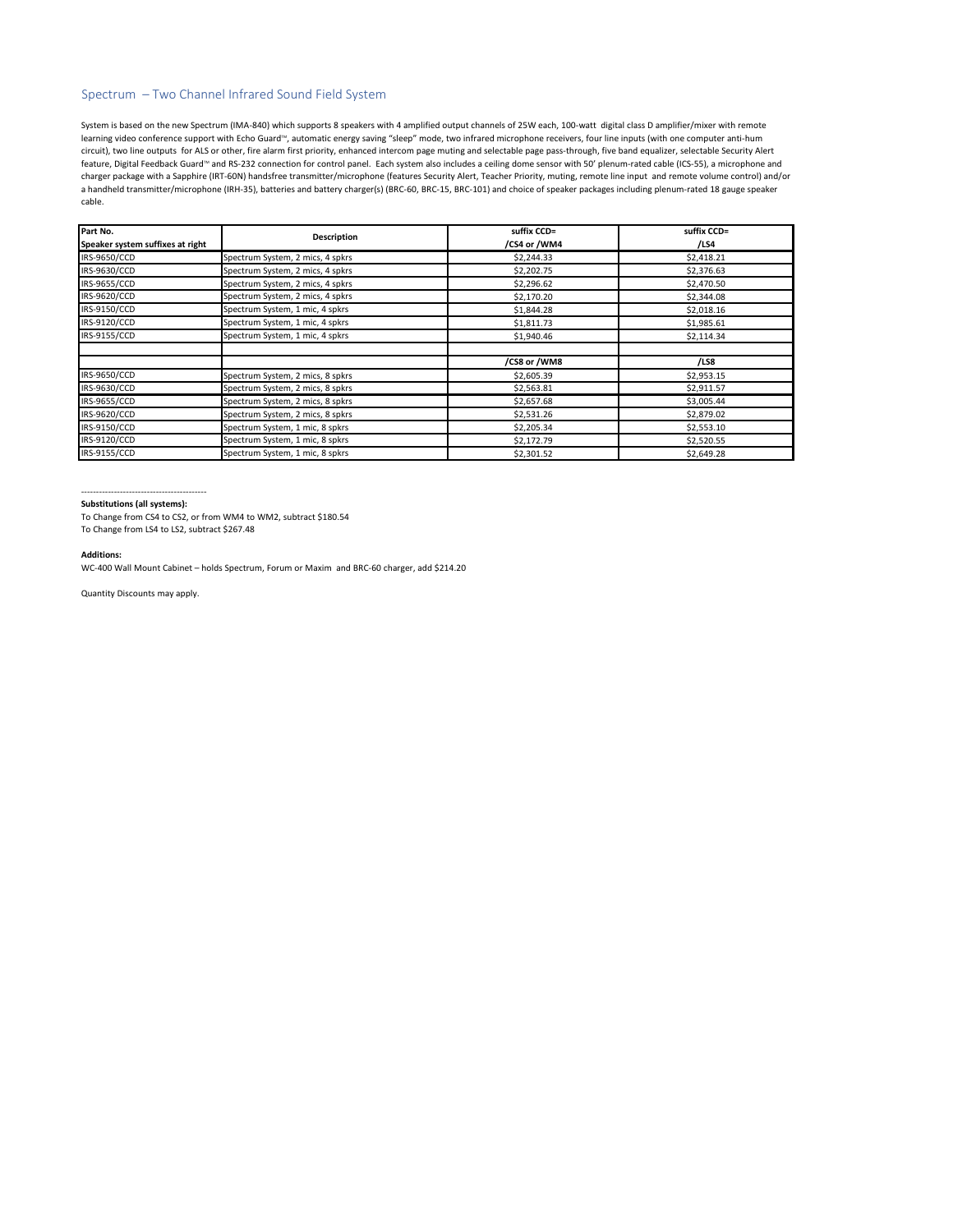# Spectrum – Two Channel Infrared Sound Field System

System is based on the new Spectrum (IMA-840) which supports 8 speakers with 4 amplified output channels of 25W each, 100-watt digital class D amplifier/mixer with remote learning video conference support with Echo Guard<sup>iw</sup>, automatic energy saving "sleep" mode, two infrared microphone receivers, four line inputs (with one computer anti-hum circuit), two line outputs for ALS or other, fire alarm first priority, enhanced intercom page muting and selectable page pass-through, five band equalizer, selectable Security Alert feature, Digital Feedback Guard™ and RS-232 connection for control panel. Each system also includes a ceiling dome sensor with 50' plenum-rated cable (ICS-55), a microphone and charger package with a Sapphire (IRT-60N) handsfree transmitter/microphone (features Security Alert, Teacher Priority, muting, remote line input and remote volume control) and/or a handheld transmitter/microphone (IRH-35), batteries and battery charger(s) (BRC-60, BRC-15, BRC-101) and choice of speaker packages including plenum-rated 18 gauge speaker cable.

| Part No.                         | Description                      | suffix CCD=  | suffix CCD= |
|----------------------------------|----------------------------------|--------------|-------------|
| Speaker system suffixes at right |                                  | /CS4 or /WM4 | /LS4        |
| IRS-9650/CCD                     | Spectrum System, 2 mics, 4 spkrs | \$2,244.33   | \$2,418.21  |
| IRS-9630/CCD                     | Spectrum System, 2 mics, 4 spkrs | \$2,202.75   | \$2,376.63  |
| IRS-9655/CCD                     | Spectrum System, 2 mics, 4 spkrs | \$2,296.62   | \$2,470.50  |
| IRS-9620/CCD                     | Spectrum System, 2 mics, 4 spkrs | \$2,170.20   | \$2,344.08  |
| IRS-9150/CCD                     | Spectrum System, 1 mic, 4 spkrs  | \$1,844.28   | \$2,018.16  |
| IRS-9120/CCD                     | Spectrum System, 1 mic, 4 spkrs  | \$1,811.73   | \$1,985.61  |
| IRS-9155/CCD                     | Spectrum System, 1 mic, 4 spkrs  | \$1,940.46   | \$2,114.34  |
|                                  |                                  |              |             |
|                                  |                                  | /CS8 or /WM8 | /LS8        |
| IRS-9650/CCD                     | Spectrum System, 2 mics, 8 spkrs | \$2,605.39   | \$2,953.15  |
| IRS-9630/CCD                     | Spectrum System, 2 mics, 8 spkrs | \$2,563.81   | \$2,911.57  |
| IRS-9655/CCD                     | Spectrum System, 2 mics, 8 spkrs | \$2,657.68   | \$3,005.44  |
| IRS-9620/CCD                     | Spectrum System, 2 mics, 8 spkrs | \$2,531.26   | \$2,879.02  |
| IRS-9150/CCD                     | Spectrum System, 1 mic, 8 spkrs  | \$2,205.34   | \$2,553.10  |
| IRS-9120/CCD                     | Spectrum System, 1 mic, 8 spkrs  | \$2,172.79   | \$2,520.55  |
| IRS-9155/CCD                     | Spectrum System, 1 mic, 8 spkrs  | \$2,301.52   | \$2,649.28  |

#### ------------------------------------------ **Substitutions (all systems):**

To Change from CS4 to CS2, or from WM4 to WM2, subtract \$180.54

To Change from LS4 to LS2, subtract \$267.48

### **Additions:**

WC-400 Wall Mount Cabinet – holds Spectrum, Forum or Maxim and BRC-60 charger, add \$214.20

Quantity Discounts may apply.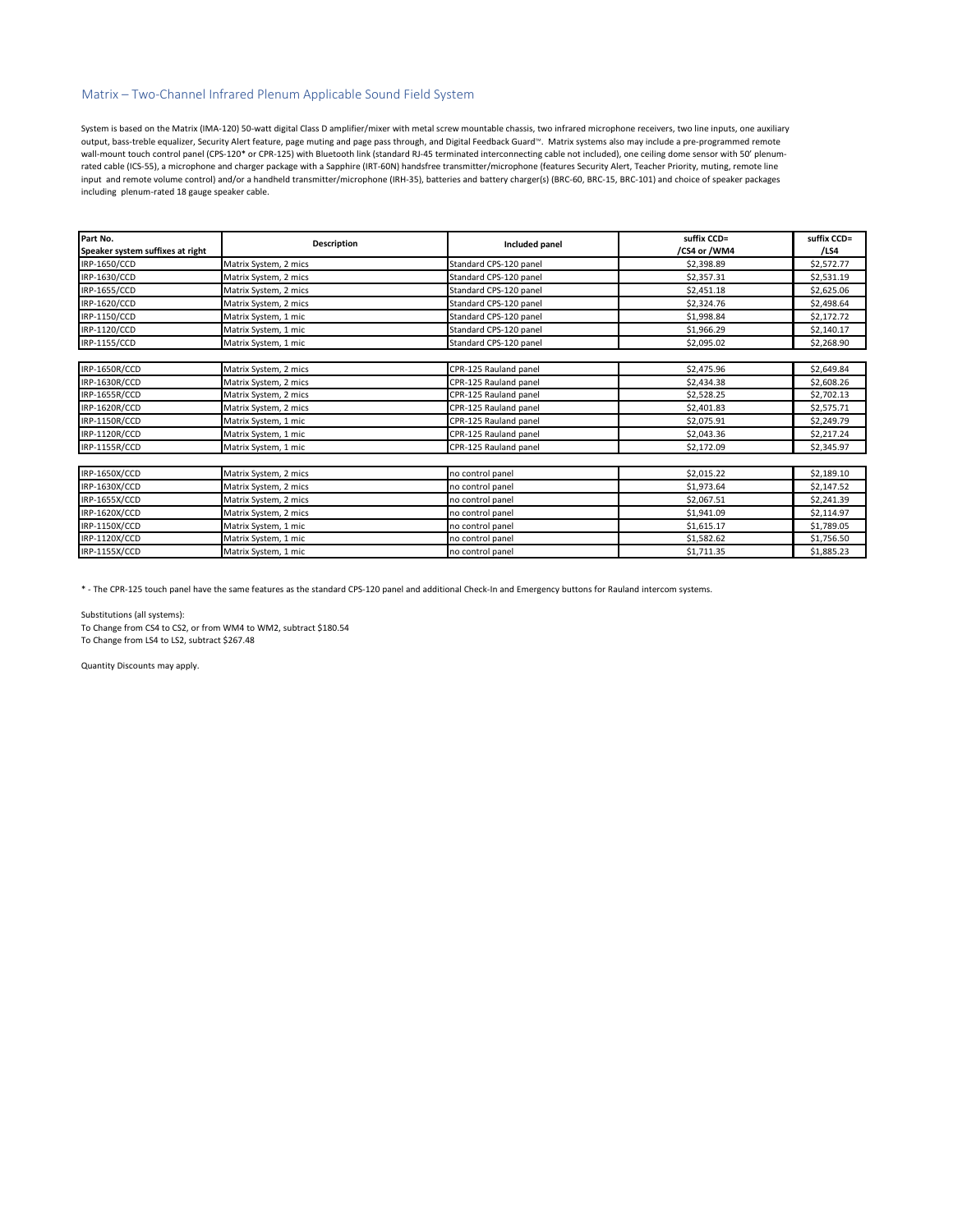# Matrix – Two-Channel Infrared Plenum Applicable Sound Field System

System is based on the Matrix (IMA-120) 50-watt digital Class D amplifier/mixer with metal screw mountable chassis, two infrared microphone receivers, two line inputs, one auxiliary output, bass-treble equalizer, Security Alert feature, page muting and page pass through, and Digital Feedback Guard<sup>M.</sup> Matrix systems also may include a pre-programmed remote wall-mount touch control panel (CPS-120\* or CPR-125) with Bluetooth link (standard RJ-45 terminated interconnecting cable not included), one ceiling dome sensor with 50' plenumrated cable (ICS-55), a microphone and charger package with a Sapphire (IRT-60N) handsfree transmitter/microphone (features Security Alert, Teacher Priority, muting, remote line input and remote volume control) and/or a handheld transmitter/microphone (IRH-35), batteries and battery charger(s) (BRC-60, BRC-15, BRC-101) and choice of speaker packages including plenum-rated 18 gauge speaker cable.

| Part No.<br>Speaker system suffixes at right | Description           | Included panel         | suffix CCD=<br>/CS4 or /WM4 | suffix CCD=<br>/LS4 |
|----------------------------------------------|-----------------------|------------------------|-----------------------------|---------------------|
| IRP-1650/CCD                                 | Matrix System, 2 mics | Standard CPS-120 panel | \$2,398.89                  | \$2,572.77          |
| IRP-1630/CCD                                 | Matrix System, 2 mics | Standard CPS-120 panel | \$2,357.31                  | \$2,531.19          |
| IRP-1655/CCD                                 | Matrix System, 2 mics | Standard CPS-120 panel | \$2,451.18                  | \$2,625.06          |
| IRP-1620/CCD                                 | Matrix System, 2 mics | Standard CPS-120 panel | \$2,324.76                  | \$2,498.64          |
| IRP-1150/CCD                                 | Matrix System, 1 mic  | Standard CPS-120 panel | \$1,998.84                  | \$2,172.72          |
| IRP-1120/CCD                                 | Matrix System, 1 mic  | Standard CPS-120 panel | \$1,966.29                  | \$2,140.17          |
| IRP-1155/CCD                                 | Matrix System, 1 mic  | Standard CPS-120 panel | \$2,095.02                  | \$2,268.90          |
|                                              |                       |                        |                             |                     |
| IRP-1650R/CCD                                | Matrix System, 2 mics | CPR-125 Rauland panel  | \$2,475.96                  | \$2,649.84          |
| IRP-1630R/CCD                                | Matrix System, 2 mics | CPR-125 Rauland panel  | \$2,434.38                  | \$2,608.26          |
| IRP-1655R/CCD                                | Matrix System, 2 mics | CPR-125 Rauland panel  | \$2,528.25                  | \$2,702.13          |
| IRP-1620R/CCD                                | Matrix System, 2 mics | CPR-125 Rauland panel  | \$2,401.83                  | \$2,575.71          |
| IRP-1150R/CCD                                | Matrix System, 1 mic  | CPR-125 Rauland panel  | \$2,075.91                  | \$2,249.79          |
| IRP-1120R/CCD                                | Matrix System, 1 mic  | CPR-125 Rauland panel  | \$2,043.36                  | \$2,217.24          |
| IRP-1155R/CCD                                | Matrix System, 1 mic  | CPR-125 Rauland panel  | \$2,172.09                  | \$2,345.97          |
|                                              |                       |                        |                             |                     |
| IRP-1650X/CCD                                | Matrix System, 2 mics | no control panel       | \$2,015.22                  | \$2,189.10          |
| IRP-1630X/CCD                                | Matrix System, 2 mics | no control panel       | \$1,973.64                  | \$2,147.52          |
| IRP-1655X/CCD                                | Matrix System, 2 mics | no control panel       | \$2,067.51                  | \$2,241.39          |
| IRP-1620X/CCD                                | Matrix System, 2 mics | no control panel       | \$1,941.09                  | \$2,114.97          |
| IRP-1150X/CCD                                | Matrix System, 1 mic  | no control panel       | \$1,615.17                  | \$1,789.05          |
| IRP-1120X/CCD                                | Matrix System, 1 mic  | no control panel       | \$1,582.62                  | \$1,756.50          |
| IRP-1155X/CCD                                | Matrix System, 1 mic  | no control panel       | \$1,711.35                  | \$1,885.23          |

\* - The CPR-125 touch panel have the same features as the standard CPS-120 panel and additional Check-In and Emergency buttons for Rauland intercom systems.

Substitutions (all systems): To Change from CS4 to CS2, or from WM4 to WM2, subtract \$180.54 To Change from LS4 to LS2, subtract \$267.48

Quantity Discounts may apply.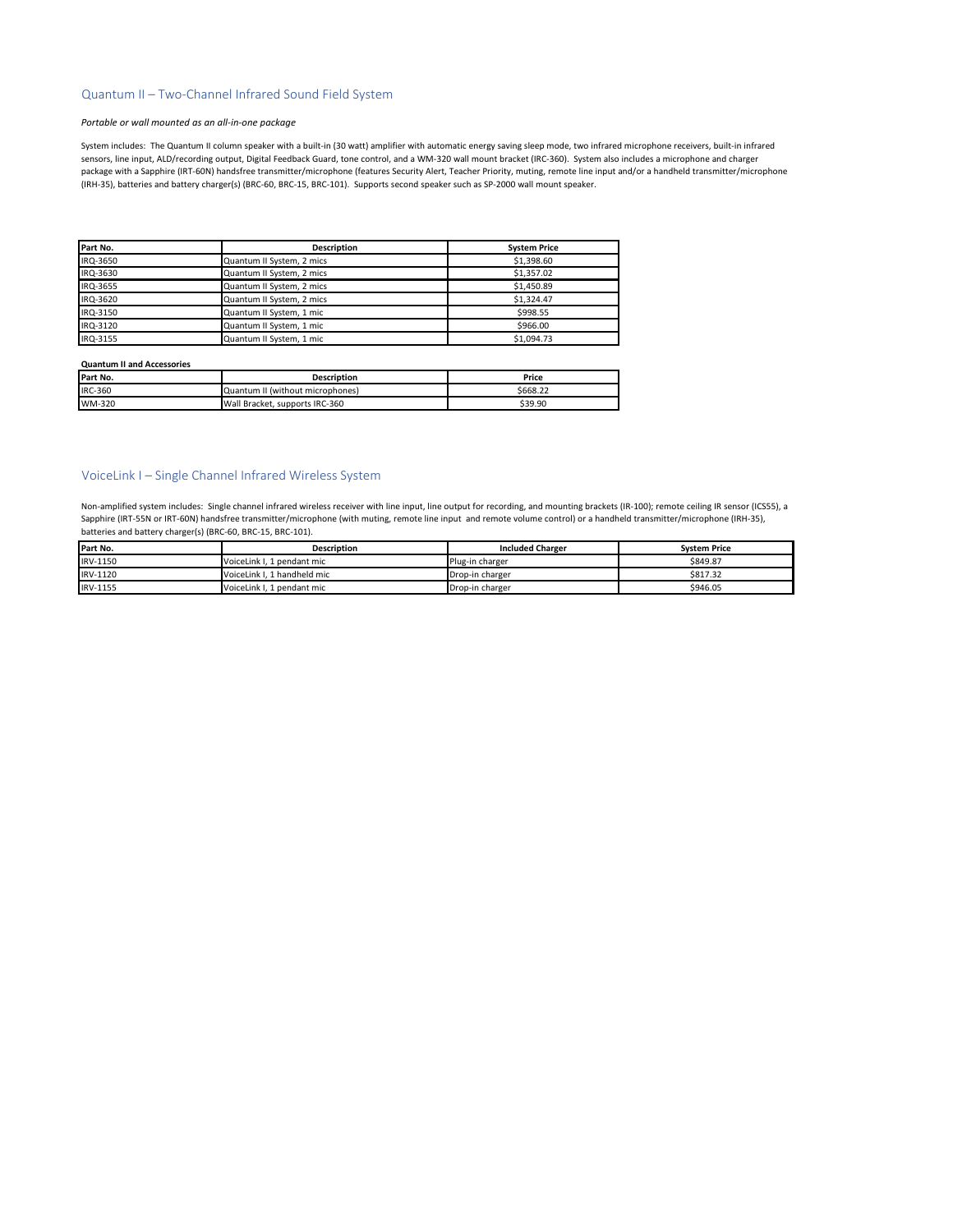# Quantum II – Two-Channel Infrared Sound Field System

### *Portable or wall mounted as an all-in-one package*

System includes: The Quantum II column speaker with a built-in (30 watt) amplifier with automatic energy saving sleep mode, two infrared microphone receivers, built-in infrared sensors, line input, ALD/recording output, Digital Feedback Guard, tone control, and a WM-320 wall mount bracket (IRC-360). System also includes a microphone and charger package with a Sapphire (IRT-60N) handsfree transmitter/microphone (features Security Alert, Teacher Priority, muting, remote line input and/or a handheld transmitter/microphone (IRH-35), batteries and battery charger(s) (BRC-60, BRC-15, BRC-101). Supports second speaker such as SP-2000 wall mount speaker.

| Part No. | <b>Description</b>        | <b>System Price</b> |
|----------|---------------------------|---------------------|
| IRQ-3650 | Quantum II System, 2 mics | \$1,398.60          |
| IRQ-3630 | Quantum II System, 2 mics | \$1.357.02          |
| IRQ-3655 | Quantum II System, 2 mics | \$1,450.89          |
| IRQ-3620 | Quantum II System, 2 mics | \$1.324.47          |
| IRQ-3150 | Quantum II System, 1 mic  | \$998.55            |
| IRQ-3120 | Quantum II System, 1 mic  | \$966.00            |
| IRQ-3155 | Quantum II System, 1 mic  | \$1.094.73          |

#### **Quantum II and Accessories**

| Part No. | <b>Description</b>               | Price    |
|----------|----------------------------------|----------|
| IRC-360  | Quantum II (without microphones) | \$668.22 |
| WM-320   | Wall Bracket, supports IRC-360   | \$39.90  |

# VoiceLink I – Single Channel Infrared Wireless System

Non-amplified system includes: Single channel infrared wireless receiver with line input, line output for recording, and mounting brackets (IR-100); remote ceiling IR sensor (ICS55), a Sapphire (IRT-55N or IRT-60N) handsfree transmitter/microphone (with muting, remote line input and remote volume control) or a handheld transmitter/microphone (IRH-35), batteries and battery charger(s) (BRC-60, BRC-15, BRC-101).

| Part No. | <b>Description</b>          | <b>Included Charger</b> | <b>System Price</b> |
|----------|-----------------------------|-------------------------|---------------------|
| IRV-1150 | VoiceLink I. 1 pendant mic  | Plug-in charger         | \$849.87            |
| IRV-1120 | VoiceLink I. 1 handheld mic | Drop-in charger         | \$817.32            |
| IRV-1155 | VoiceLink I. 1 pendant mic  | Drop-in charger         | \$946.05            |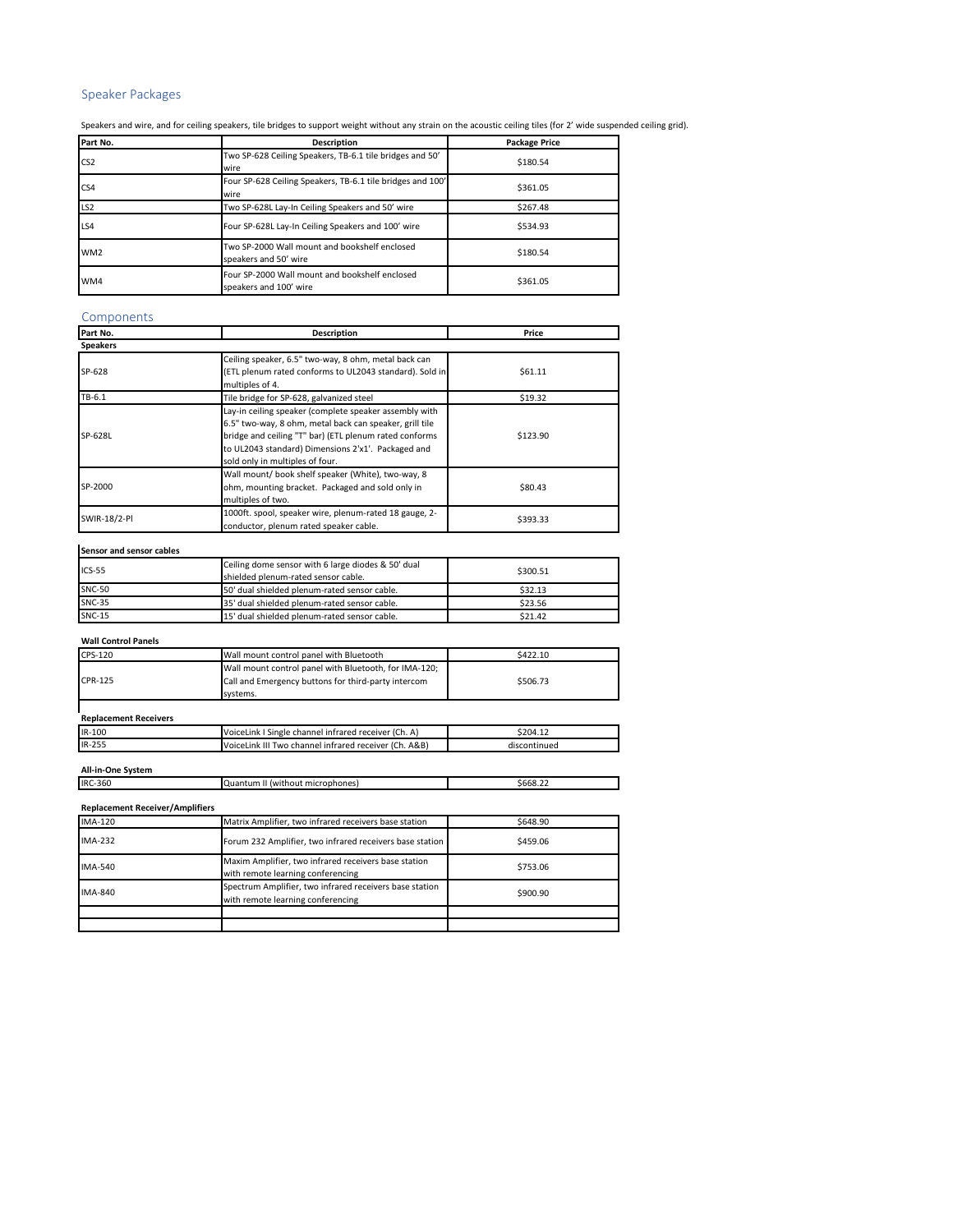# Speaker Packages

Speakers and wire, and for ceiling speakers, tile bridges to support weight without any strain on the acoustic ceiling tiles (for 2' wide suspended ceiling grid).

| Part No.        | <b>Description</b>                                                       | <b>Package Price</b> |
|-----------------|--------------------------------------------------------------------------|----------------------|
| CS <sub>2</sub> | Two SP-628 Ceiling Speakers, TB-6.1 tile bridges and 50'<br>wire         | \$180.54             |
| CS <sub>4</sub> | Four SP-628 Ceiling Speakers, TB-6.1 tile bridges and 100'<br>wire       | \$361.05             |
| LS <sub>2</sub> | Two SP-628L Lay-In Ceiling Speakers and 50' wire                         | \$267.48             |
| LS4             | Four SP-628L Lay-In Ceiling Speakers and 100' wire                       | \$534.93             |
| WM <sub>2</sub> | Two SP-2000 Wall mount and bookshelf enclosed<br>speakers and 50' wire   | \$180.54             |
| WM4             | Four SP-2000 Wall mount and bookshelf enclosed<br>speakers and 100' wire | \$361.05             |

# Components

| Part No.        | <b>Description</b>                                                                                                                                                                                                                                                   | Price    |
|-----------------|----------------------------------------------------------------------------------------------------------------------------------------------------------------------------------------------------------------------------------------------------------------------|----------|
| <b>Speakers</b> |                                                                                                                                                                                                                                                                      |          |
| SP-628          | Ceiling speaker, 6.5" two-way, 8 ohm, metal back can<br>(ETL plenum rated conforms to UL2043 standard). Sold in<br>multiples of 4.                                                                                                                                   | \$61.11  |
| TB-6.1          | Tile bridge for SP-628, galvanized steel                                                                                                                                                                                                                             | \$19.32  |
| SP-628L         | Lay-in ceiling speaker (complete speaker assembly with<br>6.5" two-way, 8 ohm, metal back can speaker, grill tile<br>bridge and ceiling "T" bar) (ETL plenum rated conforms<br>to UL2043 standard) Dimensions 2'x1'. Packaged and<br>sold only in multiples of four. | \$123.90 |
| SP-2000         | Wall mount/ book shelf speaker (White), two-way, 8<br>ohm, mounting bracket. Packaged and sold only in<br>multiples of two.                                                                                                                                          | \$80.43  |
| SWIR-18/2-PI    | 1000ft. spool, speaker wire, plenum-rated 18 gauge, 2-<br>conductor, plenum rated speaker cable.                                                                                                                                                                     | \$393.33 |

# **Sensor and sensor cables**

| $ICS-55$      | Ceiling dome sensor with 6 large diodes & 50' dual<br>shielded plenum-rated sensor cable. | \$300.51 |
|---------------|-------------------------------------------------------------------------------------------|----------|
| <b>SNC-50</b> | 50' dual shielded plenum-rated sensor cable.                                              | \$32.13  |
| <b>SNC-35</b> | 35' dual shielded plenum-rated sensor cable.                                              | \$23.56  |
| <b>SNC-15</b> | 15' dual shielded plenum-rated sensor cable.                                              | \$21.42  |

| <b>Wall Control Panels</b>   |                                                       |          |
|------------------------------|-------------------------------------------------------|----------|
| CPS-120                      | Wall mount control panel with Bluetooth               | \$422.10 |
|                              | Wall mount control panel with Bluetooth, for IMA-120; |          |
| CPR-125                      | Call and Emergency buttons for third-party intercom   | \$506.73 |
|                              | systems.                                              |          |
|                              |                                                       |          |
| <b>Replacement Receivers</b> |                                                       |          |
| $IR-100$                     | VoiceLink I Single channel infrared receiver (Ch. A)  | \$204.12 |

IR-255 VoiceLink III Two channel infrared receiver (Ch. A&B) discontinued

# **All-in-One System**

| <b>Replacement Receiver/Amplifiers</b> |                                                                                              |          |
|----------------------------------------|----------------------------------------------------------------------------------------------|----------|
| <b>IMA-120</b>                         | Matrix Amplifier, two infrared receivers base station                                        | \$648.90 |
| IMA-232                                | Forum 232 Amplifier, two infrared receivers base station                                     | \$459.06 |
| <b>IMA-540</b>                         | Maxim Amplifier, two infrared receivers base station<br>with remote learning conferencing    | \$753.06 |
| <b>IMA-840</b>                         | Spectrum Amplifier, two infrared receivers base station<br>with remote learning conferencing | \$900.90 |
|                                        |                                                                                              |          |
|                                        |                                                                                              |          |

Quantum II (without microphones)  $$668.22$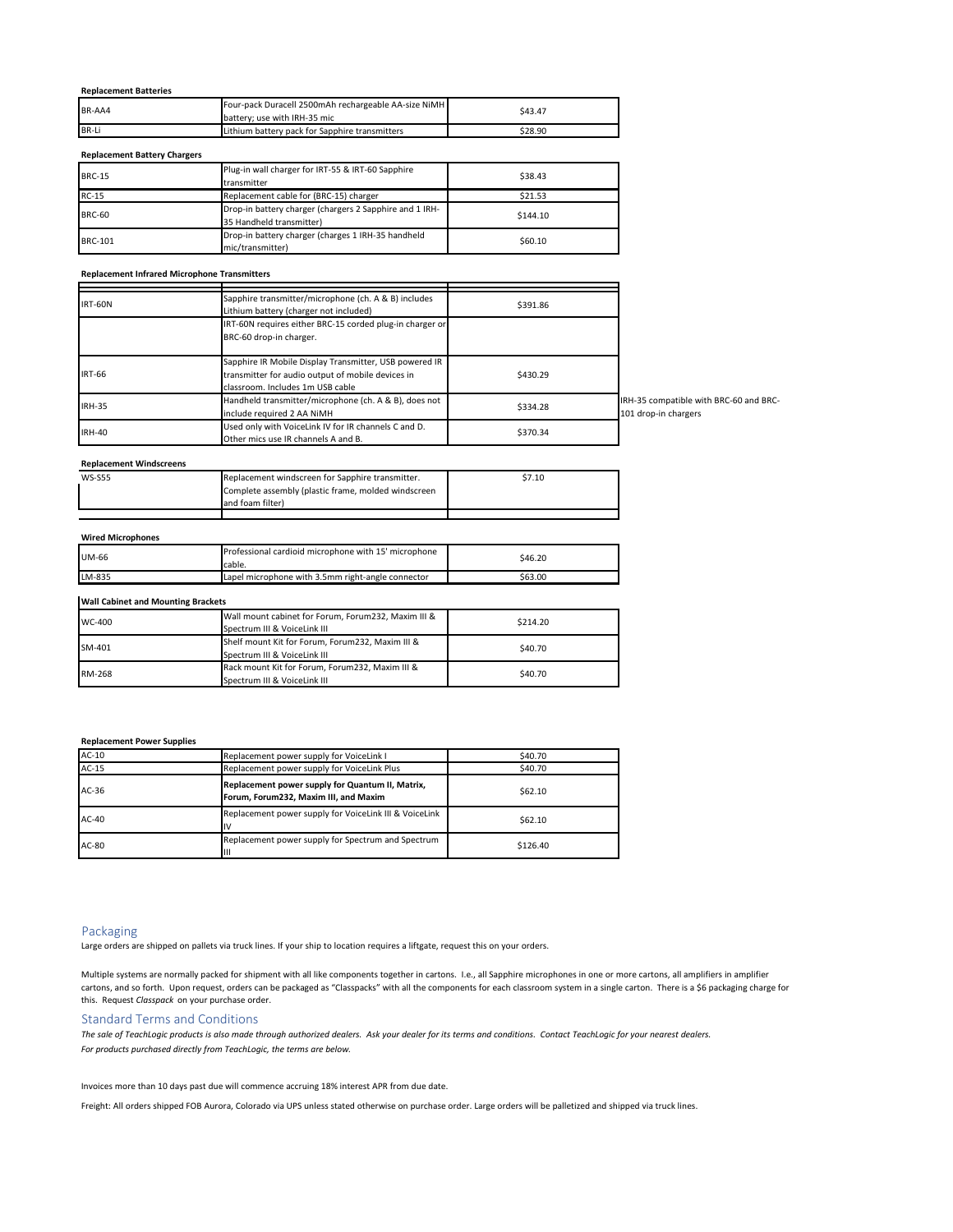# **Replacement Batteries**

| BR-AA4 | Four-pack Duracell 2500mAh rechargeable AA-size NiMH | \$43.47 |  |
|--------|------------------------------------------------------|---------|--|
|        | battery: use with IRH-35 mic                         |         |  |
| BR-Li  | Lithium battery pack for Sapphire transmitters       | \$28.90 |  |

## **Replacement Battery Chargers**

| <b>BRC-15</b>  | Plug-in wall charger for IRT-55 & IRT-60 Sapphire<br>transmitter                    | \$38.43  |
|----------------|-------------------------------------------------------------------------------------|----------|
| <b>RC-15</b>   | Replacement cable for (BRC-15) charger                                              | \$21.53  |
| <b>BRC-60</b>  | Drop-in battery charger (chargers 2 Sapphire and 1 IRH-<br>35 Handheld transmitter) | \$144.10 |
| <b>BRC-101</b> | Drop-in battery charger (charges 1 IRH-35 handheld<br>mic/transmitter)              | \$60.10  |

## **Replacement Infrared Microphone Transmitters**

| <b>IRT-60N</b> | Sapphire transmitter/microphone (ch. A & B) includes<br>Lithium battery (charger not included)                                                  | \$391.86                                                                   |
|----------------|-------------------------------------------------------------------------------------------------------------------------------------------------|----------------------------------------------------------------------------|
|                | IRT-60N requires either BRC-15 corded plug-in charger or<br>BRC-60 drop-in charger.                                                             |                                                                            |
| <b>IRT-66</b>  | Sapphire IR Mobile Display Transmitter, USB powered IR<br>transmitter for audio output of mobile devices in<br>classroom. Includes 1m USB cable | \$430.29                                                                   |
| <b>IRH-35</b>  | Handheld transmitter/microphone (ch. A & B), does not<br>include required 2 AA NiMH                                                             | IRH-35 compatible with BRC-60 and BRC-<br>\$334.28<br>101 drop-in chargers |
| <b>IRH-40</b>  | Used only with VoiceLink IV for IR channels C and D.<br>Other mics use IR channels A and B.                                                     | \$370.34                                                                   |

## **Replacement Windscreens**

| <b>WS-S55</b> | Replacement windscreen for Sapphire transmitter.    | \$7.10 |
|---------------|-----------------------------------------------------|--------|
|               | Complete assembly (plastic frame, molded windscreen |        |
|               | and foam filter)                                    |        |
|               |                                                     |        |

| <b>Wired Microphones</b> |                                                                |         |
|--------------------------|----------------------------------------------------------------|---------|
| UM-66                    | Professional cardioid microphone with 15' microphone<br>cable. | \$46.20 |
| LM-835                   | Lapel microphone with 3.5mm right-angle connector              | \$63.00 |
|                          |                                                                |         |

# **Wall Cabinet and Mounting Brackets**

| WC-400 | Wall mount cabinet for Forum, Forum232, Maxim III &<br>Spectrum III & VoiceLink III | \$214.20 |
|--------|-------------------------------------------------------------------------------------|----------|
| SM-401 | Shelf mount Kit for Forum, Forum232, Maxim III &<br>Spectrum III & VoiceLink III    | \$40.70  |
| RM-268 | Rack mount Kit for Forum, Forum232, Maxim III &<br>Spectrum III & VoiceLink III     | \$40.70  |

## **Replacement Power Supplies**

| $AC-10$ | Replacement power supply for VoiceLink I                                                  | \$40.70  |
|---------|-------------------------------------------------------------------------------------------|----------|
| $AC-15$ | Replacement power supply for VoiceLink Plus                                               | \$40.70  |
| $AC-36$ | Replacement power supply for Quantum II, Matrix,<br>Forum, Forum232, Maxim III, and Maxim | \$62.10  |
| AC-40   | Replacement power supply for VoiceLink III & VoiceLink                                    | \$62.10  |
| AC-80   | Replacement power supply for Spectrum and Spectrum<br>Ш                                   | \$126.40 |

# Packaging

Large orders are shipped on pallets via truck lines. If your ship to location requires a liftgate, request this on your orders.

Multiple systems are normally packed for shipment with all like components together in cartons. I.e., all Sapphire microphones in one or more cartons, all amplifiers in amplifier cartons, and so forth. Upon request, orders can be packaged as "Classpacks" with all the components for each classroom system in a single carton. There is a \$6 packaging charge for this. Request *Classpack* on your purchase order.

# Standard Terms and Conditions

*For products purchased directly from TeachLogic, the terms are below. The sale of TeachLogic products is also made through authorized dealers. Ask your dealer for its terms and conditions. Contact TeachLogic for your nearest dealers.*

Invoices more than 10 days past due will commence accruing 18% interest APR from due date.

Freight: All orders shipped FOB Aurora, Colorado via UPS unless stated otherwise on purchase order. Large orders will be palletized and shipped via truck lines.